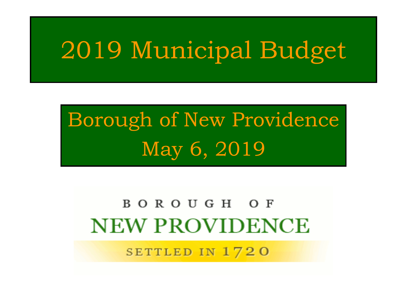## 2019 Municipal Budget

## Borough of New Providence May 6, 2019

#### BOROUGH OF **NEW PROVIDENCE**

SETTLED IN 1720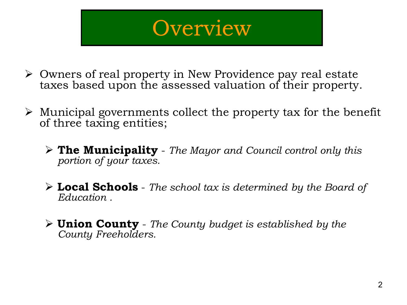#### **Overview**

- Owners of real property in New Providence pay real estate taxes based upon the assessed valuation of their property.
- $\triangleright$  Municipal governments collect the property tax for the benefit of three taxing entities;
	- **The Municipality** *The Mayor and Council control only this portion of your taxes.*
	- **Local Schools** *The school tax is determined by the Board of Education .*
	- **Union County** *The County budget is established by the County Freeholders.*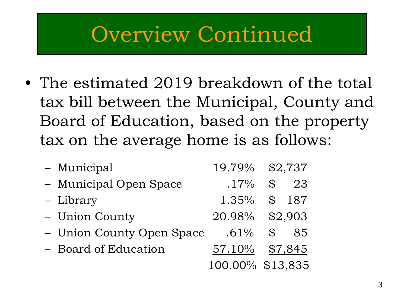#### Overview Continued

• The estimated 2019 breakdown of the total tax bill between the Municipal, County and Board of Education, based on the property tax on the average home is as follows:

| - Municipal               |                  | 19.79% \$2,737      |
|---------------------------|------------------|---------------------|
| - Municipal Open Space    | $.17\%$          | $\mathcal{L}$<br>23 |
| - Library                 | 1.35%            | \$187               |
| - Union County            |                  | 20.98% \$2,903      |
| - Union County Open Space | $.61\%$          | 85<br>$\mathcal{L}$ |
| - Board of Education      | 57.10%           | \$7,845             |
|                           | 100.00% \$13,835 |                     |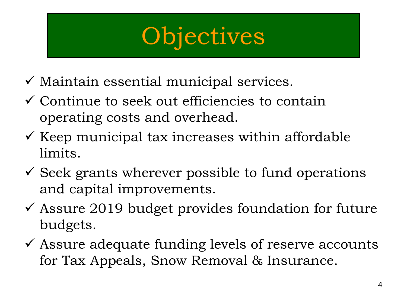## **Objectives**

- $\checkmark$  Maintain essential municipal services.
- $\checkmark$  Continue to seek out efficiencies to contain operating costs and overhead.
- $\checkmark$  Keep municipal tax increases within affordable limits.
- $\checkmark$  Seek grants wherever possible to fund operations and capital improvements.
- $\checkmark$  Assure 2019 budget provides foundation for future budgets.
- $\checkmark$  Assure adequate funding levels of reserve accounts for Tax Appeals, Snow Removal & Insurance.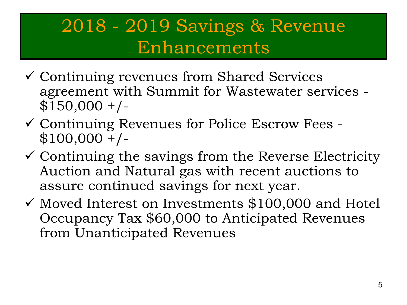#### 2018 - 2019 Savings & Revenue Enhancements

- Continuing revenues from Shared Services agreement with Summit for Wastewater services -  $$150,000 +/-$
- Continuing Revenues for Police Escrow Fees  $$100,000 +/-$
- $\checkmark$  Continuing the savings from the Reverse Electricity Auction and Natural gas with recent auctions to assure continued savings for next year.
- $\checkmark$  Moved Interest on Investments \$100,000 and Hotel Occupancy Tax \$60,000 to Anticipated Revenues from Unanticipated Revenues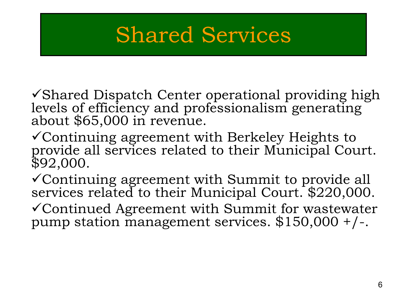#### Shared Services

 $\checkmark$  Shared Dispatch Center operational providing high levels of efficiency and professionalism generating about \$65,000 in revenue.

- Continuing agreement with Berkeley Heights to provide all services related to their Municipal Court. \$92,000.
- Continuing agreement with Summit to provide all services related to their Municipal Court. \$220,000.
- Continued Agreement with Summit for wastewater pump station management services.  $$150,000 + / -$ .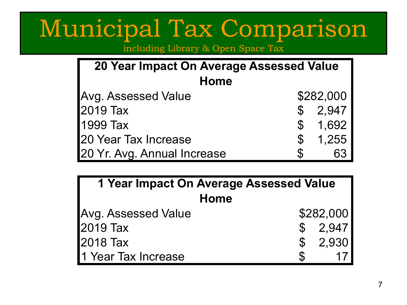## Municipal Tax Comparison

including Library & Open Space Tax

| 20 Year Impact On Average Assessed Value |               |           |  |  |
|------------------------------------------|---------------|-----------|--|--|
| <b>Home</b>                              |               |           |  |  |
| <b>Avg. Assessed Value</b>               |               | \$282,000 |  |  |
| 2019 Tax                                 |               | \$2,947   |  |  |
| 1999 Tax                                 | $\mathbb{S}$  | 1,692     |  |  |
| 20 Year Tax Increase                     | $\mathcal{L}$ | 1,255     |  |  |
| 20 Yr. Avg. Annual Increase              |               | 63        |  |  |

| 1 Year Impact On Average Assessed Value |    |           |  |
|-----------------------------------------|----|-----------|--|
| Home                                    |    |           |  |
| Avg. Assessed Value                     |    | \$282,000 |  |
| 2019 Tax                                |    | \$2,947   |  |
| 2018 Tax                                |    | \$2,930   |  |
| 1 Year Tax Increase                     | S. |           |  |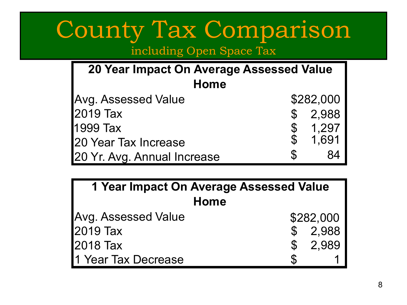## County Tax Comparison

including Open Space Tax

| 20 Year Impact On Average Assessed Value |                           |           |  |  |
|------------------------------------------|---------------------------|-----------|--|--|
| Home                                     |                           |           |  |  |
| <b>Avg. Assessed Value</b>               |                           | \$282,000 |  |  |
| 2019 Tax                                 | $\mathcal{C}$             | 2,988     |  |  |
| 1999 Tax                                 | $\boldsymbol{\mathsf{S}}$ | 1,297     |  |  |
| 20 Year Tax Increase                     |                           | 1,691     |  |  |
| 20 Yr. Avg. Annual Increase              | S.                        | 84        |  |  |

| 1 Year Impact On Average Assessed Value |           |  |  |
|-----------------------------------------|-----------|--|--|
| <b>Home</b>                             |           |  |  |
| Avg. Assessed Value                     | \$282,000 |  |  |
| 2019 Tax                                | \$2,988   |  |  |
| 2018 Tax                                | \$2,989   |  |  |
| 1 Year Tax Decrease                     | S         |  |  |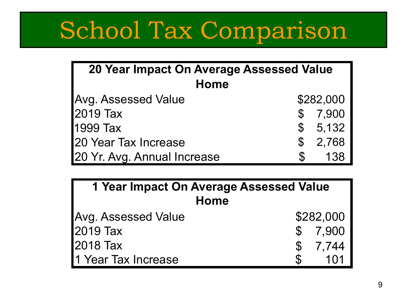# School Tax Comparison

| 20 Year Impact On Average Assessed Value |               |           |  |  |
|------------------------------------------|---------------|-----------|--|--|
| Home                                     |               |           |  |  |
| Avg. Assessed Value                      |               | \$282,000 |  |  |
| 2019 Tax                                 | $\mathbb S$   | 7,900     |  |  |
| 1999 Tax                                 |               | \$5,132   |  |  |
| 120 Year Tax Increase                    | $\mathcal{S}$ | 2,768     |  |  |
| 20 Yr. Avg. Annual Increase              |               | 138       |  |  |

| 1 Year Impact On Average Assessed Value |               |                  |  |  |
|-----------------------------------------|---------------|------------------|--|--|
| <b>Home</b>                             |               |                  |  |  |
| Avg. Assessed Value                     |               | \$282,000        |  |  |
| 2019 Tax                                |               | \$7,900          |  |  |
| 2018 Tax                                |               | \$7,744          |  |  |
| 1 Year Tax Increase                     | $\mathcal{S}$ | 1 <sub>0</sub> 1 |  |  |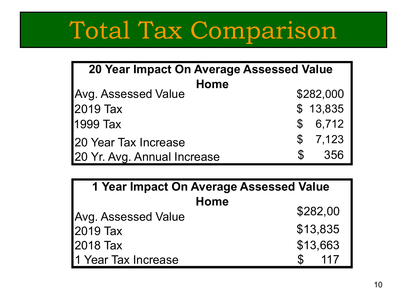# Total Tax Comparison

| 20 Year Impact On Average Assessed Value |              |           |  |  |
|------------------------------------------|--------------|-----------|--|--|
| Home                                     |              |           |  |  |
| <b>Avg. Assessed Value</b>               |              | \$282,000 |  |  |
| 2019 Tax                                 |              | \$13,835  |  |  |
| 1999 Tax                                 |              | \$6,712   |  |  |
| 20 Year Tax Increase                     |              | \$7,123   |  |  |
| 20 Yr. Avg. Annual Increase              | $\mathbb{S}$ | 356       |  |  |

| 1 Year Impact On Average Assessed Value |          |  |  |  |
|-----------------------------------------|----------|--|--|--|
| Home                                    |          |  |  |  |
| Avg. Assessed Value                     | \$282,00 |  |  |  |
| 2019 Tax                                | \$13,835 |  |  |  |
| 12018 Tax                               | \$13,663 |  |  |  |
| 1 Year Tax Increase                     | 117      |  |  |  |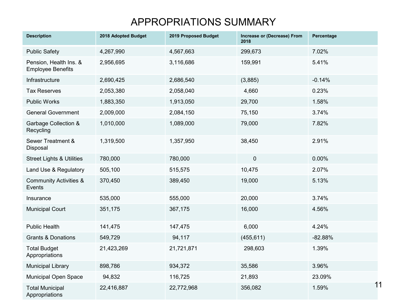#### APPROPRIATIONS SUMMARY

| <b>Description</b>                                 | 2018 Adopted Budget | 2019 Proposed Budget | Increase or (Decrease) From<br>2018 | Percentage  |
|----------------------------------------------------|---------------------|----------------------|-------------------------------------|-------------|
| <b>Public Safety</b>                               | 4,267,990           | 4,567,663            | 299,673                             | 7.02%       |
| Pension, Health Ins. &<br><b>Employee Benefits</b> | 2,956,695           | 3,116,686            | 159,991                             | 5.41%       |
| Infrastructure                                     | 2,690,425           | 2,686,540            | (3,885)                             | $-0.14%$    |
| <b>Tax Reserves</b>                                | 2,053,380           | 2,058,040            | 4,660                               | 0.23%       |
| <b>Public Works</b>                                | 1,883,350           | 1,913,050            | 29,700                              | 1.58%       |
| <b>General Government</b>                          | 2,009,000           | 2,084,150            | 75,150                              | 3.74%       |
| <b>Garbage Collection &amp;</b><br>Recycling       | 1,010,000           | 1,089,000            | 79,000                              | 7.82%       |
| Sewer Treatment &<br>Disposal                      | 1,319,500           | 1,357,950            | 38,450                              | 2.91%       |
| <b>Street Lights &amp; Utilities</b>               | 780,000             | 780,000              | $\pmb{0}$                           | 0.00%       |
| Land Use & Regulatory                              | 505,100             | 515,575              | 10,475                              | 2.07%       |
| <b>Community Activities &amp;</b><br>Events        | 370,450             | 389,450              | 19,000                              | 5.13%       |
| Insurance                                          | 535,000             | 555,000              | 20,000                              | 3.74%       |
| <b>Municipal Court</b>                             | 351,175             | 367,175              | 16,000                              | 4.56%       |
| <b>Public Health</b>                               | 141,475             | 147,475              | 6,000                               | 4.24%       |
| <b>Grants &amp; Donations</b>                      | 549,729             | 94,117               | (455, 611)                          | $-82.88%$   |
| <b>Total Budget</b><br>Appropriations              | 21,423,269          | 21,721,871           | 298,603                             | 1.39%       |
| <b>Municipal Library</b>                           | 898,786             | 934,372              | 35,586                              | 3.96%       |
| Municipal Open Space                               | 94,832              | 116,725              | 21,893                              | 23.09%      |
| <b>Total Municipal</b><br>Appropriations           | 22,416,887          | 22,772,968           | 356,082                             | 11<br>1.59% |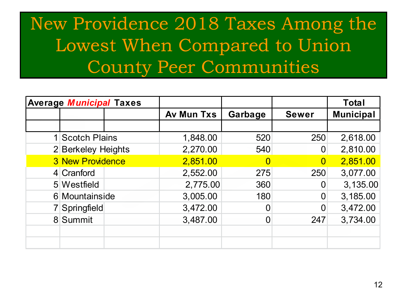#### New Providence 2018 Taxes Among the Lowest When Compared to Union County Peer Communities

| <b>Average Municipal Taxes</b> |                   |         |                | <b>Total</b>     |
|--------------------------------|-------------------|---------|----------------|------------------|
|                                | <b>Av Mun Txs</b> | Garbage | <b>Sewer</b>   | <b>Municipal</b> |
|                                |                   |         |                |                  |
| 1 Scotch Plains                | 1,848.00          | 520     | 250            | 2,618.00         |
| 2 Berkeley Heights             | 2,270.00          | 540     | $\overline{0}$ | 2,810.00         |
| <b>3 New Providence</b>        | 2,851.00          |         | $\overline{0}$ | 2,851.00         |
| 4 Cranford                     | 2,552.00          | 275     | 250            | 3,077.00         |
| 5 Westfield                    | 2,775.00          | 360     |                | 3,135.00         |
| 6 Mountainside                 | 3,005.00          | 180     | $\Omega$       | 3,185.00         |
| Springfield                    | 3,472.00          |         | $\Omega$       | 3,472.00         |
| 8 Summit                       | 3,487.00          |         | 247            | 3,734.00         |
|                                |                   |         |                |                  |
|                                |                   |         |                |                  |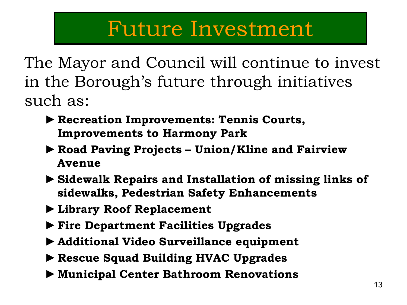#### Future Investment

The Mayor and Council will continue to invest in the Borough's future through initiatives such as:

- ►**Recreation Improvements: Tennis Courts, Improvements to Harmony Park**
- ►**Road Paving Projects – Union/Kline and Fairview Avenue**
- ►**Sidewalk Repairs and Installation of missing links of sidewalks, Pedestrian Safety Enhancements**
- ►**Library Roof Replacement**
- ►**Fire Department Facilities Upgrades**
- ►**Additional Video Surveillance equipment**
- ►**Rescue Squad Building HVAC Upgrades**
- ►**Municipal Center Bathroom Renovations**